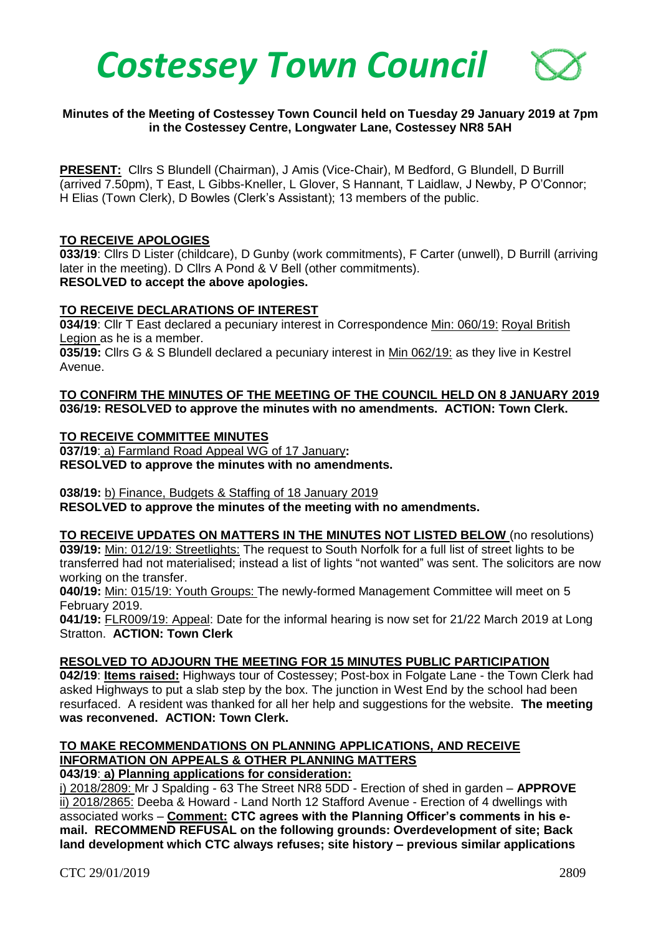

## **Minutes of the Meeting of Costessey Town Council held on Tuesday 29 January 2019 at 7pm in the Costessey Centre, Longwater Lane, Costessey NR8 5AH**

**PRESENT:** Cllrs S Blundell (Chairman), J Amis (Vice-Chair), M Bedford, G Blundell, D Burrill (arrived 7.50pm), T East, L Gibbs-Kneller, L Glover, S Hannant, T Laidlaw, J Newby, P O'Connor; H Elias (Town Clerk), D Bowles (Clerk's Assistant); 13 members of the public.

#### **TO RECEIVE APOLOGIES**

**033/19**: Cllrs D Lister (childcare), D Gunby (work commitments), F Carter (unwell), D Burrill (arriving later in the meeting). D Cllrs A Pond & V Bell (other commitments). **RESOLVED to accept the above apologies.** 

#### **TO RECEIVE DECLARATIONS OF INTEREST**

**034/19**: Cllr T East declared a pecuniary interest in Correspondence Min: 060/19: Royal British Legion as he is a member.

**035/19:** Cllrs G & S Blundell declared a pecuniary interest in Min 062/19: as they live in Kestrel Avenue.

### **TO CONFIRM THE MINUTES OF THE MEETING OF THE COUNCIL HELD ON 8 JANUARY 2019 036/19: RESOLVED to approve the minutes with no amendments. ACTION: Town Clerk.**

## **TO RECEIVE COMMITTEE MINUTES**

**037/19**: a) Farmland Road Appeal WG of 17 January**: RESOLVED to approve the minutes with no amendments.** 

## **038/19:** b) Finance, Budgets & Staffing of 18 January 2019

**RESOLVED to approve the minutes of the meeting with no amendments.** 

**TO RECEIVE UPDATES ON MATTERS IN THE MINUTES NOT LISTED BELOW** (no resolutions) **039/19:** Min: 012/19: Streetlights: The request to South Norfolk for a full list of street lights to be transferred had not materialised; instead a list of lights "not wanted" was sent. The solicitors are now working on the transfer.

**040/19:** Min: 015/19: Youth Groups: The newly-formed Management Committee will meet on 5 February 2019.

**041/19:** FLR009/19: Appeal: Date for the informal hearing is now set for 21/22 March 2019 at Long Stratton. **ACTION: Town Clerk**

## **RESOLVED TO ADJOURN THE MEETING FOR 15 MINUTES PUBLIC PARTICIPATION**

**042/19**: **Items raised:** Highways tour of Costessey; Post-box in Folgate Lane - the Town Clerk had asked Highways to put a slab step by the box. The junction in West End by the school had been resurfaced. A resident was thanked for all her help and suggestions for the website. **The meeting was reconvened. ACTION: Town Clerk.**

#### **TO MAKE RECOMMENDATIONS ON PLANNING APPLICATIONS, AND RECEIVE INFORMATION ON APPEALS & OTHER PLANNING MATTERS 043/19**: **a) Planning applications for consideration:**

i) 2018/2809: Mr J Spalding - 63 The Street NR8 5DD - Erection of shed in garden – **APPROVE** ii) 2018/2865: Deeba & Howard - Land North 12 Stafford Avenue - Erection of 4 dwellings with associated works – **Comment: CTC agrees with the Planning Officer's comments in his email. RECOMMEND REFUSAL on the following grounds: Overdevelopment of site; Back land development which CTC always refuses; site history – previous similar applications**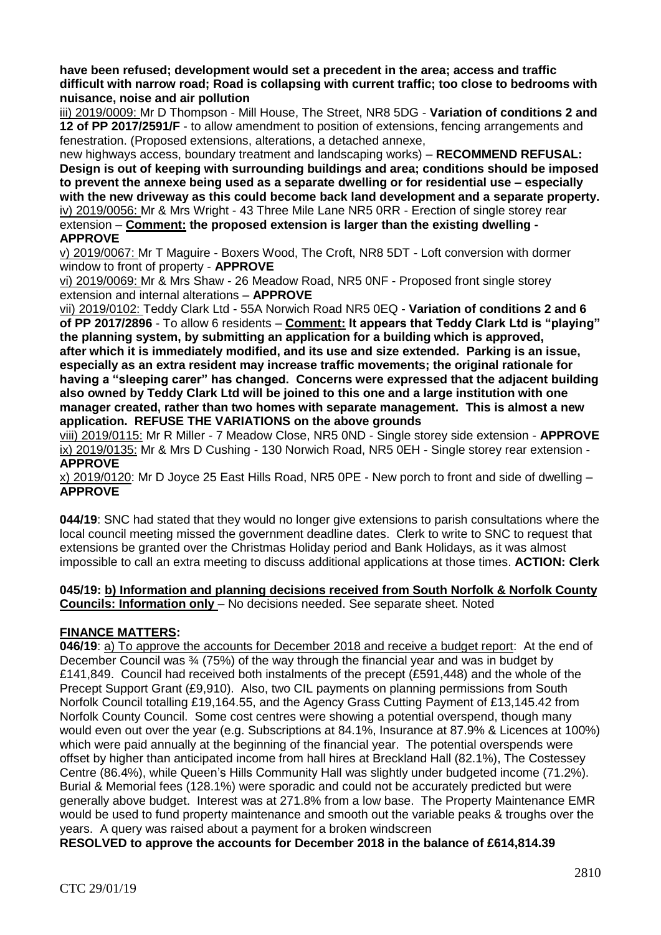**have been refused; development would set a precedent in the area; access and traffic difficult with narrow road; Road is collapsing with current traffic; too close to bedrooms with nuisance, noise and air pollution**

iii) 2019/0009: Mr D Thompson - Mill House, The Street, NR8 5DG - **Variation of conditions 2 and 12 of PP 2017/2591/F** - to allow amendment to position of extensions, fencing arrangements and fenestration. (Proposed extensions, alterations, a detached annexe,

new highways access, boundary treatment and landscaping works) – **RECOMMEND REFUSAL: Design is out of keeping with surrounding buildings and area; conditions should be imposed to prevent the annexe being used as a separate dwelling or for residential use – especially with the new driveway as this could become back land development and a separate property.** iv) 2019/0056: Mr & Mrs Wright - 43 Three Mile Lane NR5 0RR - Erection of single storey rear extension – **Comment: the proposed extension is larger than the existing dwelling - APPROVE**

v) 2019/0067: Mr T Maguire - Boxers Wood, The Croft, NR8 5DT - Loft conversion with dormer window to front of property - **APPROVE**

vi) 2019/0069: Mr & Mrs Shaw - 26 Meadow Road, NR5 0NF - Proposed front single storey extension and internal alterations – **APPROVE**

vii) 2019/0102: Teddy Clark Ltd - 55A Norwich Road NR5 0EQ - **Variation of conditions 2 and 6 of PP 2017/2896** - To allow 6 residents – **Comment: It appears that Teddy Clark Ltd is "playing" the planning system, by submitting an application for a building which is approved, after which it is immediately modified, and its use and size extended. Parking is an issue, especially as an extra resident may increase traffic movements; the original rationale for having a "sleeping carer" has changed. Concerns were expressed that the adjacent building also owned by Teddy Clark Ltd will be joined to this one and a large institution with one manager created, rather than two homes with separate management. This is almost a new application. REFUSE THE VARIATIONS on the above grounds**

viii) 2019/0115: Mr R Miller - 7 Meadow Close, NR5 0ND - Single storey side extension - **APPROVE** ix) 2019/0135: Mr & Mrs D Cushing - 130 Norwich Road, NR5 0EH - Single storey rear extension - **APPROVE**

x) 2019/0120: Mr D Joyce 25 East Hills Road, NR5 0PE - New porch to front and side of dwelling – **APPROVE**

**044/19**: SNC had stated that they would no longer give extensions to parish consultations where the local council meeting missed the government deadline dates. Clerk to write to SNC to request that extensions be granted over the Christmas Holiday period and Bank Holidays, as it was almost impossible to call an extra meeting to discuss additional applications at those times. **ACTION: Clerk**

## **045/19: b) Information and planning decisions received from South Norfolk & Norfolk County Councils: Information only** – No decisions needed. See separate sheet. Noted

# **FINANCE MATTERS:**

**046/19**: a) To approve the accounts for December 2018 and receive a budget report: At the end of December Council was ¾ (75%) of the way through the financial year and was in budget by £141,849. Council had received both instalments of the precept (£591,448) and the whole of the Precept Support Grant (£9,910). Also, two CIL payments on planning permissions from South Norfolk Council totalling £19,164.55, and the Agency Grass Cutting Payment of £13,145.42 from Norfolk County Council. Some cost centres were showing a potential overspend, though many would even out over the year (e.g. Subscriptions at 84.1%, Insurance at 87.9% & Licences at 100%) which were paid annually at the beginning of the financial year. The potential overspends were offset by higher than anticipated income from hall hires at Breckland Hall (82.1%), The Costessey Centre (86.4%), while Queen's Hills Community Hall was slightly under budgeted income (71.2%). Burial & Memorial fees (128.1%) were sporadic and could not be accurately predicted but were generally above budget. Interest was at 271.8% from a low base. The Property Maintenance EMR would be used to fund property maintenance and smooth out the variable peaks & troughs over the years. A query was raised about a payment for a broken windscreen

**RESOLVED to approve the accounts for December 2018 in the balance of £614,814.39**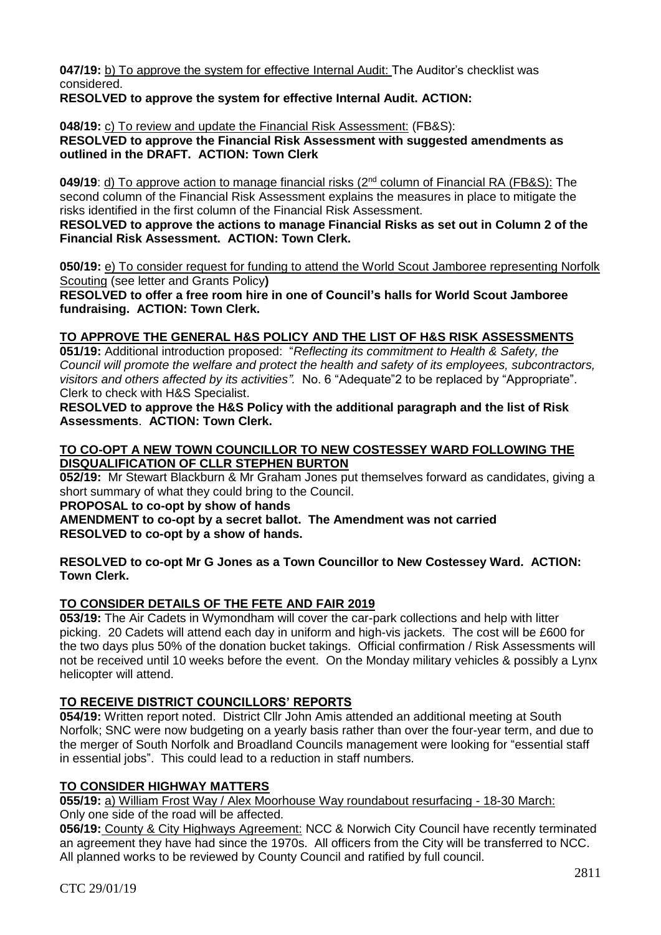**047/19:** b) To approve the system for effective Internal Audit: The Auditor's checklist was considered.

**RESOLVED to approve the system for effective Internal Audit. ACTION:** 

**048/19:** c) To review and update the Financial Risk Assessment: (FB&S):

**RESOLVED to approve the Financial Risk Assessment with suggested amendments as outlined in the DRAFT. ACTION: Town Clerk**

**049/19**: d) To approve action to manage financial risks (2<sup>nd</sup> column of Financial RA (FB&S): The second column of the Financial Risk Assessment explains the measures in place to mitigate the risks identified in the first column of the Financial Risk Assessment.

**RESOLVED to approve the actions to manage Financial Risks as set out in Column 2 of the Financial Risk Assessment. ACTION: Town Clerk.**

**050/19:** e) To consider request for funding to attend the World Scout Jamboree representing Norfolk Scouting (see letter and Grants Policy**)**

**RESOLVED to offer a free room hire in one of Council's halls for World Scout Jamboree fundraising. ACTION: Town Clerk.**

# **TO APPROVE THE GENERAL H&S POLICY AND THE LIST OF H&S RISK ASSESSMENTS**

**051/19:** Additional introduction proposed: "*Reflecting its commitment to Health & Safety, the Council will promote the welfare and protect the health and safety of its employees, subcontractors, visitors and others affected by its activities".* No. 6 "Adequate"2 to be replaced by "Appropriate". Clerk to check with H&S Specialist.

**RESOLVED to approve the H&S Policy with the additional paragraph and the list of Risk Assessments**. **ACTION: Town Clerk.**

## **TO CO-OPT A NEW TOWN COUNCILLOR TO NEW COSTESSEY WARD FOLLOWING THE DISQUALIFICATION OF CLLR STEPHEN BURTON**

**052/19:** Mr Stewart Blackburn & Mr Graham Jones put themselves forward as candidates, giving a short summary of what they could bring to the Council.

**PROPOSAL to co-opt by show of hands** 

**AMENDMENT to co-opt by a secret ballot. The Amendment was not carried RESOLVED to co-opt by a show of hands.**

**RESOLVED to co-opt Mr G Jones as a Town Councillor to New Costessey Ward. ACTION: Town Clerk.**

# **TO CONSIDER DETAILS OF THE FETE AND FAIR 2019**

**053/19:** The Air Cadets in Wymondham will cover the car-park collections and help with litter picking. 20 Cadets will attend each day in uniform and high-vis jackets. The cost will be £600 for the two days plus 50% of the donation bucket takings. Official confirmation / Risk Assessments will not be received until 10 weeks before the event. On the Monday military vehicles & possibly a Lynx helicopter will attend.

# **TO RECEIVE DISTRICT COUNCILLORS' REPORTS**

**054/19:** Written report noted. District Cllr John Amis attended an additional meeting at South Norfolk; SNC were now budgeting on a yearly basis rather than over the four-year term, and due to the merger of South Norfolk and Broadland Councils management were looking for "essential staff in essential jobs". This could lead to a reduction in staff numbers.

# **TO CONSIDER HIGHWAY MATTERS**

**055/19:** a) William Frost Way / Alex Moorhouse Way roundabout resurfacing - 18-30 March: Only one side of the road will be affected.

**056/19:** County & City Highways Agreement: NCC & Norwich City Council have recently terminated an agreement they have had since the 1970s. All officers from the City will be transferred to NCC. All planned works to be reviewed by County Council and ratified by full council.